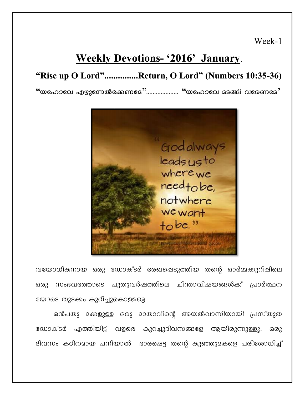Week-1

## **Weekly Devotions- '2016' January.**

## "Rise up O Lord"..............Return, O Lord" (Numbers 10:35-36)

 $\lq\lq$ യഹോവേ എഴുന്നേൽക്കേണമേ $\lq\lq$  ......................  $\lq\lq$ യഹോവേ മടങ്ങി വരേണമേ $\lq$ 



വയോധികനായ ഒരു ഡോക്ടർ രേഖപ്പെടുത്തിയ തന്റെ ഓർമ്മക്കുറിഷിലെ ഒരു സംഭവത്തോടെ പുതുവർഷത്തിലെ ചിന്താവിഷയങ്ങൾക്ക് പ്രാർത്ഥന യോടെ തുടക്കം കുറിച്ചുകൊള്ളട്ടെ.

ഒൻപതു മക്കളുള്ള ഒരു മാതാവിന്റെ അയൽവാസിയായി പ്രസ്തുത ഡോക്ടർ എത്തിയിട്ട് വളരെ കുറച്ചുദിവസങ്ങളേ ആയിരുന്നുള്ളൂ. ഒരു ദിവസം കഠിനമായ പനിയാൽ ഭാരപ്പെട്ട തന്റെ കുഞ്ഞുമകളെ പരിശോധിച്ച്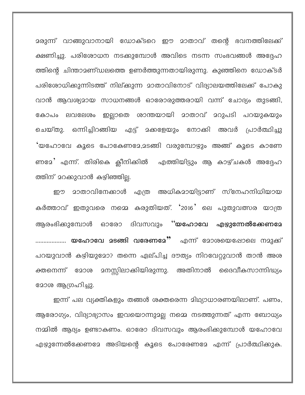മരുന്ന് വാങ്ങുവാനായി ഡോക്ടറെ ഈ മാതാവ് തന്റെ ഭവനത്തിലേക്ക് ക്ഷണിച്ചു. പരിശോധന നടക്കുമ്പോൾ അവിടെ നടന്ന സംഭവങ്ങൾ അദ്ദേഹ ത്തിന്റെ ചിന്താമണ്ഡലത്തെ ഉണർത്തുന്നതായിരുന്നു. കുഞ്ഞിനെ ഡോക്ടർ പരിശോധിക്കുന്നിടത്ത് നില്ക്കുന്ന മാതാവിനോട് വിദ്യാലയത്തിലേക്ക് പോകു വാൻ ആവശ്യമായ സാധനങ്ങൾ ഓരോരുത്തരായി വന്ന് ചോദ്യം തുടങ്ങി, കോപം ലവലേശം ഇല്ലാതെ ശാന്തയായി മാതാവ് മറുപടി പറയുകയും ചെയ്തു. ഒന്നിച്ചിറങ്ങിയ എട്ട് മക്കളേയും നോക്കി അവർ പ്രാർത്ഥിച്ചു 'യഹോവേ കൂടെ പോകേണമേ,മടങ്ങി വരുമ്പോഴും അങ്ങ് കൂടെ കാണേ ണമേ' എന്ന്. തിരികെ ക്ലീനിക്കിൽ എത്തിയിട്ടും ആ കാഴ്ചകൾ അദ്ദേഹ ത്തിന് മറക്കുവാൻ കഴിഞ്ഞില്ല.

മാതാവിനേക്കാൾ എത്ര അധികമായിട്ടാണ് സ്നേഹനിധിയായ ഈ കർത്താവ് ഇതുവരെ നമ്മെ കരുതിയത്. '2016' ലെ പുതുവത്സര യാത്ര ആരംഭിക്കുമ്പോൾ ഓരോ ദിവസവും ''യഹോവേ എഴുന്നേൽക്കേണമേ .................. **യഹോവേ മടങ്ങി വരേണമേ''** എന്ന് മോശയെഷോലെ നമുക്ക് പറയുവാൻ കഴിയുമോ? തന്നെ ഏല്പിച്ച ദൗത്യം നിറവേറ്റുവാൻ താൻ അശ **ോ**ശ ആഗ്രഹിച്ചു.

ഇന്ന് പല വ്യക്തികളും തങ്ങൾ ശക്തരെന്ന മിഥ്യാധാരണയിലാണ്. പണം, ആരോഗ്യം, വിദ്യാഭ്യാസം ഇവയൊന്നുമല്ല നമ്മെ നടത്തുന്നത് എന്ന ബോധ്യം നമ്മിൽ ആദ്യം ഉണ്ടാകണം. ഓരോ ദിവസവും ആരംഭിക്കുമ്പോൾ യഹോവേ എഴുന്നേൽക്കേണമേ അടിയന്റെ കൂടെ പോരേണമേ എന്ന് പ്രാർത്ഥിക്കുക.